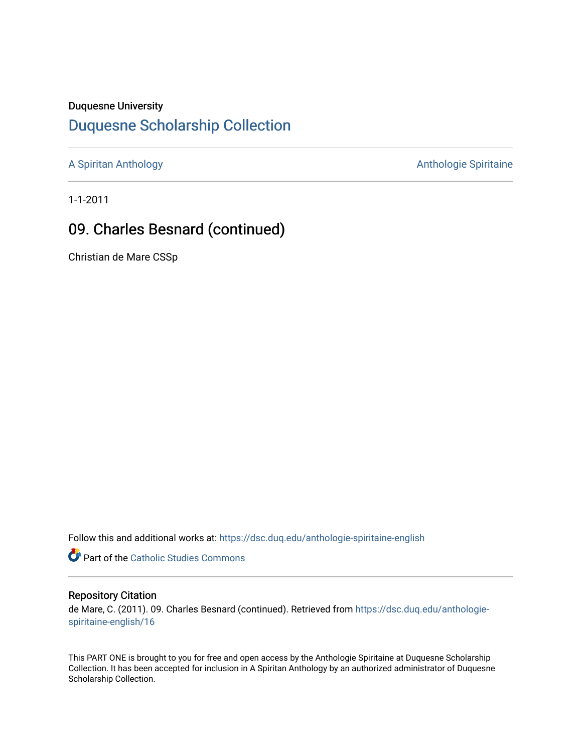#### Duquesne University

# [Duquesne Scholarship Collection](https://dsc.duq.edu/)

[A Spiritan Anthology](https://dsc.duq.edu/anthologie-spiritaine-english) **Anthology** Anthologie Spiritaine

1-1-2011

# 09. Charles Besnard (continued)

Christian de Mare CSSp

Follow this and additional works at: [https://dsc.duq.edu/anthologie-spiritaine-english](https://dsc.duq.edu/anthologie-spiritaine-english?utm_source=dsc.duq.edu%2Fanthologie-spiritaine-english%2F16&utm_medium=PDF&utm_campaign=PDFCoverPages)

**Part of the [Catholic Studies Commons](http://network.bepress.com/hgg/discipline/1294?utm_source=dsc.duq.edu%2Fanthologie-spiritaine-english%2F16&utm_medium=PDF&utm_campaign=PDFCoverPages)** 

### Repository Citation

de Mare, C. (2011). 09. Charles Besnard (continued). Retrieved from [https://dsc.duq.edu/anthologie](https://dsc.duq.edu/anthologie-spiritaine-english/16?utm_source=dsc.duq.edu%2Fanthologie-spiritaine-english%2F16&utm_medium=PDF&utm_campaign=PDFCoverPages)[spiritaine-english/16](https://dsc.duq.edu/anthologie-spiritaine-english/16?utm_source=dsc.duq.edu%2Fanthologie-spiritaine-english%2F16&utm_medium=PDF&utm_campaign=PDFCoverPages) 

This PART ONE is brought to you for free and open access by the Anthologie Spiritaine at Duquesne Scholarship Collection. It has been accepted for inclusion in A Spiritan Anthology by an authorized administrator of Duquesne Scholarship Collection.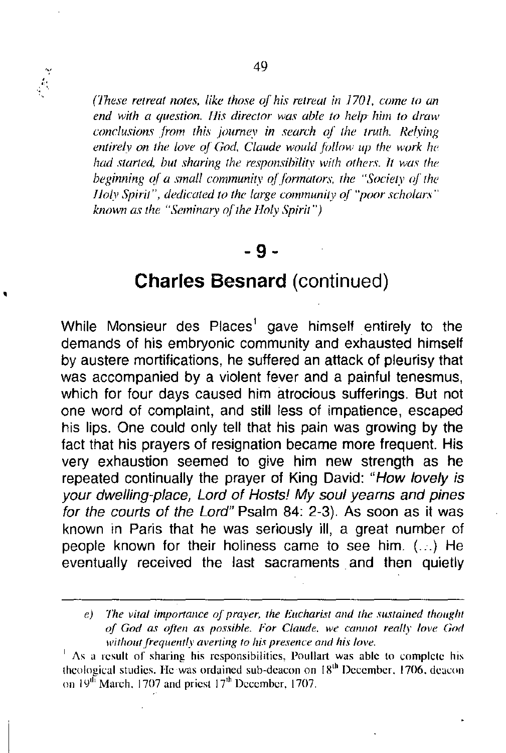

,

*(1hese retreat notes, like those of his retreat in 1701, come to an end with a question. l1is director WQI' able to help him to draw conclusions from this joumey in search 0/ the truth. Relying entirely on the love of God. Claude would jiJl/ow up the work he had started, but sharing the re.17)(msibilitv with others, It was the beginning 0/ a smal/ community ol./ormators. the "Society o/the l10ly Spirit", dedicated to the large commanity of "poor scholars" known as the "Seminary a/the l10ly Spirit* ")

### - 9-

## Charles Besnard (continued)

While Monsieur des Places<sup>1</sup> gave himself entirely to the demands of his embryonic community and exhausted himself by austere mortifications, he suffered an attack of pleurisy that was accompanied by a violent *fever* and a painful tenesmus, which for four days caused him atrocious sufferings. But not one word of complaint, and still less of impatience, escaped his lips. One could only tell that his pain was growing by the fact that his prayers of resignation became more frequent. His *very* exhaustion seemed to *give* him new strength as he repeated continually the prayer of King David: *"How lovely is your dwelling-place, Lord of Hosts!* My *soul yearns and pines for the courts of the Lord"* Psalm 84: 2-3). As soon as it was known in Paris that he was seriously ill, a great number of people known for their holiness came to see him. (...) He *eventually* received the last sacraments and then quietly

*e*) The vital importance of prayer, the Eucharist and the sustained thought *oj God as ojtcn as possible. For Claude, we cannot really love God without frequently averting to his presence and his love.* 

 $<sup>1</sup>$  As a result of sharing his responsibilities, Poullart was able to complete his</sup> theological studies. He was ordained sub-deacon on  $18<sup>th</sup>$  December. 1706. deacon on 19<sup>th</sup> March, 1707 and priest 17<sup>th</sup> December, 1707.